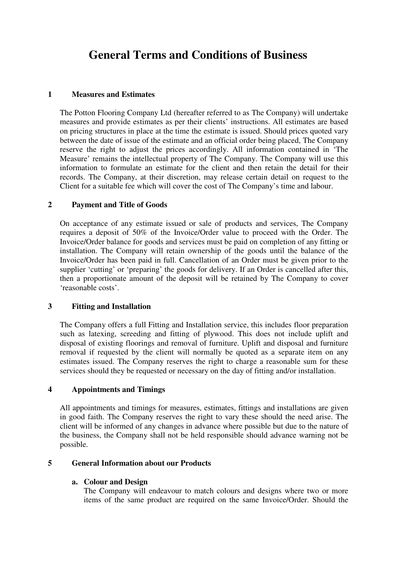# **General Terms and Conditions of Business**

#### **1 Measures and Estimates**

The Potton Flooring Company Ltd (hereafter referred to as The Company) will undertake measures and provide estimates as per their clients' instructions. All estimates are based on pricing structures in place at the time the estimate is issued. Should prices quoted vary between the date of issue of the estimate and an official order being placed, The Company reserve the right to adjust the prices accordingly. All information contained in 'The Measure' remains the intellectual property of The Company. The Company will use this information to formulate an estimate for the client and then retain the detail for their records. The Company, at their discretion, may release certain detail on request to the Client for a suitable fee which will cover the cost of The Company's time and labour.

# **2 Payment and Title of Goods**

On acceptance of any estimate issued or sale of products and services, The Company requires a deposit of 50% of the Invoice/Order value to proceed with the Order. The Invoice/Order balance for goods and services must be paid on completion of any fitting or installation. The Company will retain ownership of the goods until the balance of the Invoice/Order has been paid in full. Cancellation of an Order must be given prior to the supplier 'cutting' or 'preparing' the goods for delivery. If an Order is cancelled after this, then a proportionate amount of the deposit will be retained by The Company to cover 'reasonable costs'.

#### **3 Fitting and Installation**

The Company offers a full Fitting and Installation service, this includes floor preparation such as latexing, screeding and fitting of plywood. This does not include uplift and disposal of existing floorings and removal of furniture. Uplift and disposal and furniture removal if requested by the client will normally be quoted as a separate item on any estimates issued. The Company reserves the right to charge a reasonable sum for these services should they be requested or necessary on the day of fitting and/or installation.

#### **4 Appointments and Timings**

All appointments and timings for measures, estimates, fittings and installations are given in good faith. The Company reserves the right to vary these should the need arise. The client will be informed of any changes in advance where possible but due to the nature of the business, the Company shall not be held responsible should advance warning not be possible.

#### **5 General Information about our Products**

#### **a. Colour and Design**

The Company will endeavour to match colours and designs where two or more items of the same product are required on the same Invoice/Order. Should the